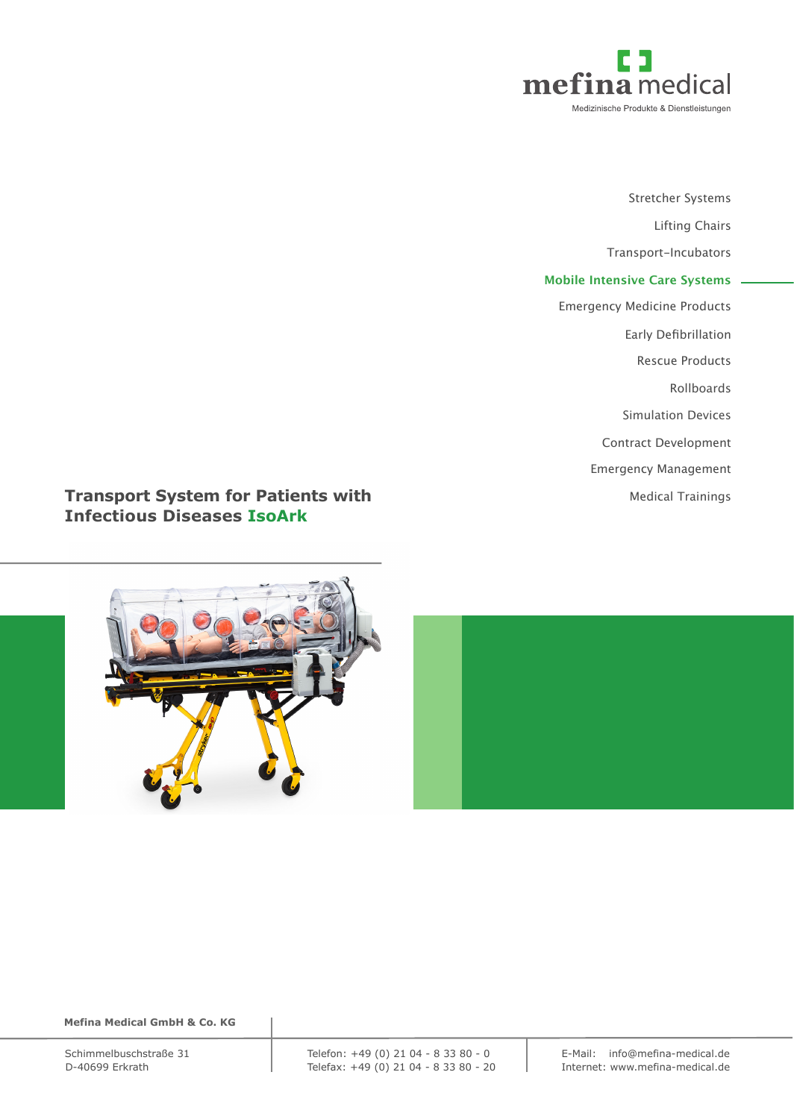

Stretcher Systems Lifting Chairs Transport-Incubators **Mobile Intensive Care Systems** Emergency Medicine Products Early Defibrillation Rescue Products Rollboards Simulation Devices Contract Development Emergency Management Medical Trainings

# **Transport System for Patients with Infectious Diseases IsoArk**



 **Mefina Medical GmbH & Co. KG**